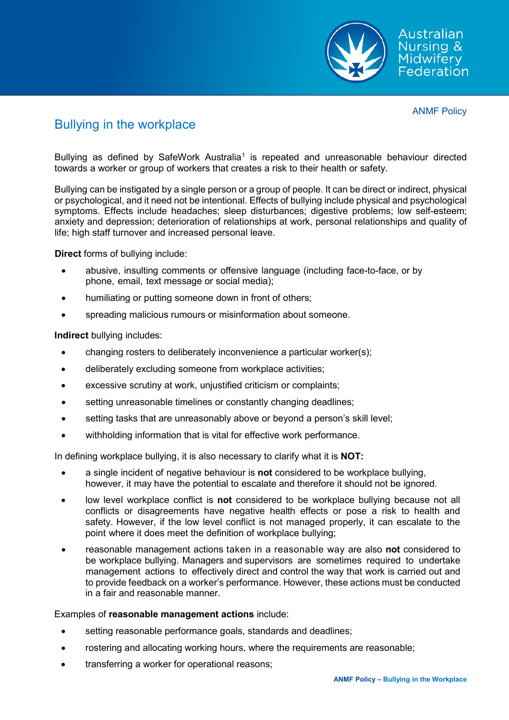

# Bullying in the workplace

Bullying as defined by SafeWork Australia<sup>[1](#page-4-0)</sup> is repeated and unreasonable behaviour directed towards a worker or group of workers that creates a risk to their health or safety.

Bullying can be instigated by a single person or a group of people. It can be direct or indirect, physical or psychological, and it need not be intentional. Effects of bullying include physical and psychological symptoms. Effects include headaches; sleep disturbances; digestive problems; low self-esteem; anxiety and depression; deterioration of relationships at work, personal relationships and quality of life; high staff turnover and increased personal leave.

**Direct** forms of bullying include:

- abusive, insulting comments or offensive language (including face-to-face, or by phone, email, text message or social media);
- humiliating or putting someone down in front of others;
- spreading malicious rumours or misinformation about someone.

**Indirect** bullying includes:

- changing rosters to deliberately inconvenience a particular worker(s);
- deliberately excluding someone from workplace activities;
- excessive scrutiny at work, unjustified criticism or complaints;
- setting unreasonable timelines or constantly changing deadlines;
- setting tasks that are unreasonably above or beyond a person's skill level;
- withholding information that is vital for effective work performance.

In defining workplace bullying, it is also necessary to clarify what it is **NOT:**

- a single incident of negative behaviour is **not** considered to be workplace bullying, however, it may have the potential to escalate and therefore it should not be ignored.
- low level workplace conflict is **not** considered to be workplace bullying because not all conflicts or disagreements have negative health effects or pose a risk to health and safety. However, if the low level conflict is not managed properly, it can escalate to the point where it does meet the definition of workplace bullying;
- reasonable management actions taken in a reasonable way are also **not** considered to be workplace bullying. Managers and supervisors are sometimes required to undertake management actions to effectively direct and control the way that work is carried out and to provide feedback on a worker's performance. However, these actions must be conducted in a fair and reasonable manner.

# Examples of **reasonable management actions** include:

- setting reasonable performance goals, standards and deadlines;
- rostering and allocating working hours, where the requirements are reasonable;
- transferring a worker for operational reasons;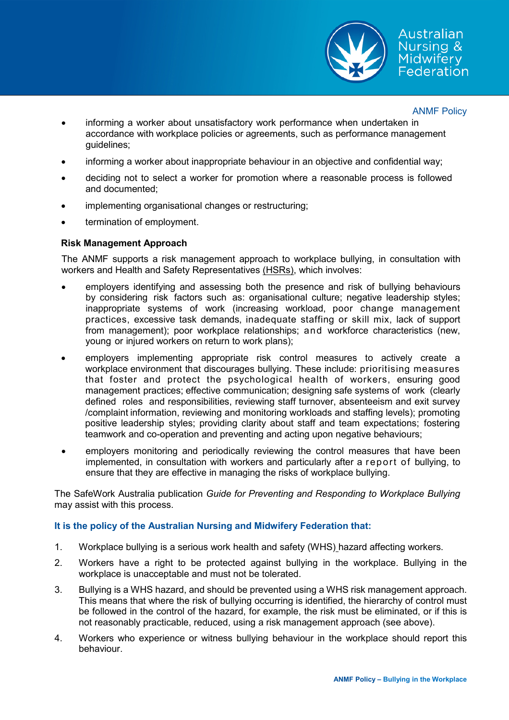

- informing a worker about unsatisfactory work performance when undertaken in accordance with workplace policies or agreements, such as performance management guidelines;
- informing a worker about inappropriate behaviour in an objective and confidential way;
- deciding not to select a worker for promotion where a reasonable process is followed and documented;
- implementing organisational changes or restructuring;
- termination of employment.

# **Risk Management Approach**

The ANMF supports a risk management approach to workplace bullying, in consultation with workers and Health and Safety Representatives (HSRs), which involves:

- employers identifying and assessing both the presence and risk of bullying behaviours by considering risk factors such as: organisational culture; negative leadership styles; inappropriate systems of work (increasing workload, poor change management practices, excessive task demands, inadequate staffing or skill mix, lack of support from management); poor workplace relationships; and workforce characteristics (new, young or injured workers on return to work plans);
- employers implementing appropriate risk control measures to actively create a workplace environment that discourages bullying. These include: prioritising measures that foster and protect the psychological health of workers, ensuring good management practices; effective communication; designing safe systems of work (clearly defined roles and responsibilities, reviewing staff turnover, absenteeism and exit survey /complaint information, reviewing and monitoring workloads and staffing levels); promoting positive leadership styles; providing clarity about staff and team expectations; fostering teamwork and co-operation and preventing and acting upon negative behaviours;
- employers monitoring and periodically reviewing the control measures that have been implemented, in consultation with workers and particularly after a report of bullying, to ensure that they are effective in managing the risks of workplace bullying.

The SafeWork Australia publication *Guide for Preventing and Responding to Workplace Bullying*  may assist with this process.

# **It is the policy of the Australian Nursing and Midwifery Federation that:**

- 1. Workplace bullying is a serious work health and safety (WHS) hazard affecting workers.
- 2. Workers have a right to be protected against bullying in the workplace. Bullying in the workplace is unacceptable and must not be tolerated.
- 3. Bullying is a WHS hazard, and should be prevented using a WHS risk management approach. This means that where the risk of bullying occurring is identified, the hierarchy of control must be followed in the control of the hazard, for example, the risk must be eliminated, or if this is not reasonably practicable, reduced, using a risk management approach (see above).
- 4. Workers who experience or witness bullying behaviour in the workplace should report this behaviour.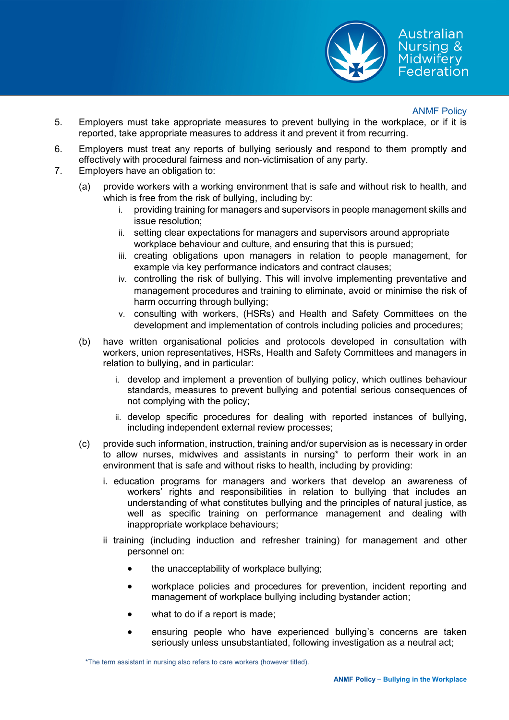

- 5. Employers must take appropriate measures to prevent bullying in the workplace, or if it is reported, take appropriate measures to address it and prevent it from recurring.
- 6. Employers must treat any reports of bullying seriously and respond to them promptly and effectively with procedural fairness and non-victimisation of any party.
- 7. Employers have an obligation to:
	- (a) provide workers with a working environment that is safe and without risk to health, and which is free from the risk of bullying, including by:
		- i. providing training for managers and supervisors in people management skills and issue resolution;
		- ii. setting clear expectations for managers and supervisors around appropriate workplace behaviour and culture, and ensuring that this is pursued;
		- iii. creating obligations upon managers in relation to people management, for example via key performance indicators and contract clauses;
		- iv. controlling the risk of bullying. This will involve implementing preventative and management procedures and training to eliminate, avoid or minimise the risk of harm occurring through bullying;
		- v. consulting with workers, (HSRs) and Health and Safety Committees on the development and implementation of controls including policies and procedures;
	- (b) have written organisational policies and protocols developed in consultation with workers, union representatives, HSRs, Health and Safety Committees and managers in relation to bullying, and in particular:
		- i. develop and implement a prevention of bullying policy, which outlines behaviour standards, measures to prevent bullying and potential serious consequences of not complying with the policy;
		- ii. develop specific procedures for dealing with reported instances of bullying, including independent external review processes;
	- (c) provide such information, instruction, training and/or supervision as is necessary in order to allow nurses, midwives and assistants in nursing\* to perform their work in an environment that is safe and without risks to health, including by providing:
		- i. education programs for managers and workers that develop an awareness of workers' rights and responsibilities in relation to bullying that includes an understanding of what constitutes bullying and the principles of natural justice, as well as specific training on performance management and dealing with inappropriate workplace behaviours;
		- ii training (including induction and refresher training) for management and other personnel on:
			- the unacceptability of workplace bullying;
			- workplace policies and procedures for prevention, incident reporting and management of workplace bullying including bystander action;
			- what to do if a report is made:
			- ensuring people who have experienced bullying's concerns are taken seriously unless unsubstantiated, following investigation as a neutral act;

\*The term assistant in nursing also refers to care workers (however titled).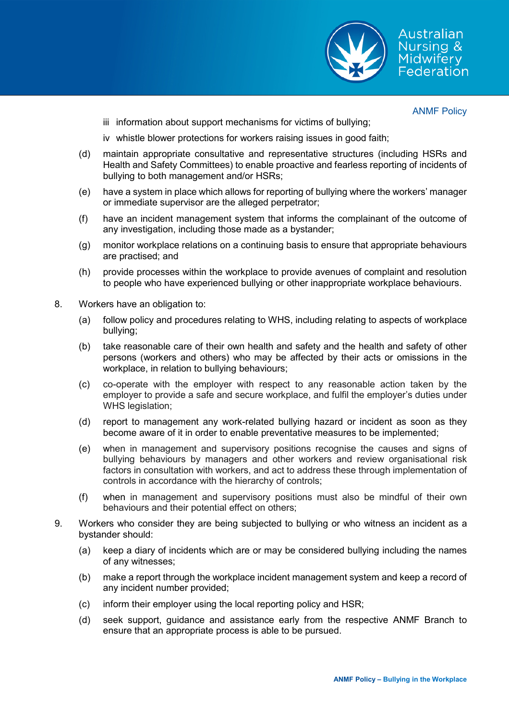

- iii information about support mechanisms for victims of bullying;
- iv whistle blower protections for workers raising issues in good faith;
- (d) maintain appropriate consultative and representative structures (including HSRs and Health and Safety Committees) to enable proactive and fearless reporting of incidents of bullying to both management and/or HSRs;
- (e) have a system in place which allows for reporting of bullying where the workers' manager or immediate supervisor are the alleged perpetrator;
- (f) have an incident management system that informs the complainant of the outcome of any investigation, including those made as a bystander;
- (g) monitor workplace relations on a continuing basis to ensure that appropriate behaviours are practised; and
- (h) provide processes within the workplace to provide avenues of complaint and resolution to people who have experienced bullying or other inappropriate workplace behaviours.
- 8. Workers have an obligation to:
	- (a) follow policy and procedures relating to WHS, including relating to aspects of workplace bullying;
	- (b) take reasonable care of their own health and safety and the health and safety of other persons (workers and others) who may be affected by their acts or omissions in the workplace, in relation to bullying behaviours;
	- (c) co-operate with the employer with respect to any reasonable action taken by the employer to provide a safe and secure workplace, and fulfil the employer's duties under WHS legislation;
	- (d) report to management any work-related bullying hazard or incident as soon as they become aware of it in order to enable preventative measures to be implemented;
	- (e) when in management and supervisory positions recognise the causes and signs of bullying behaviours by managers and other workers and review organisational risk factors in consultation with workers, and act to address these through implementation of controls in accordance with the hierarchy of controls;
	- (f) when in management and supervisory positions must also be mindful of their own behaviours and their potential effect on others;
- 9. Workers who consider they are being subjected to bullying or who witness an incident as a bystander should:
	- (a) keep a diary of incidents which are or may be considered bullying including the names of any witnesses;
	- (b) make a report through the workplace incident management system and keep a record of any incident number provided;
	- (c) inform their employer using the local reporting policy and HSR;
	- (d) seek support, guidance and assistance early from the respective ANMF Branch to ensure that an appropriate process is able to be pursued.